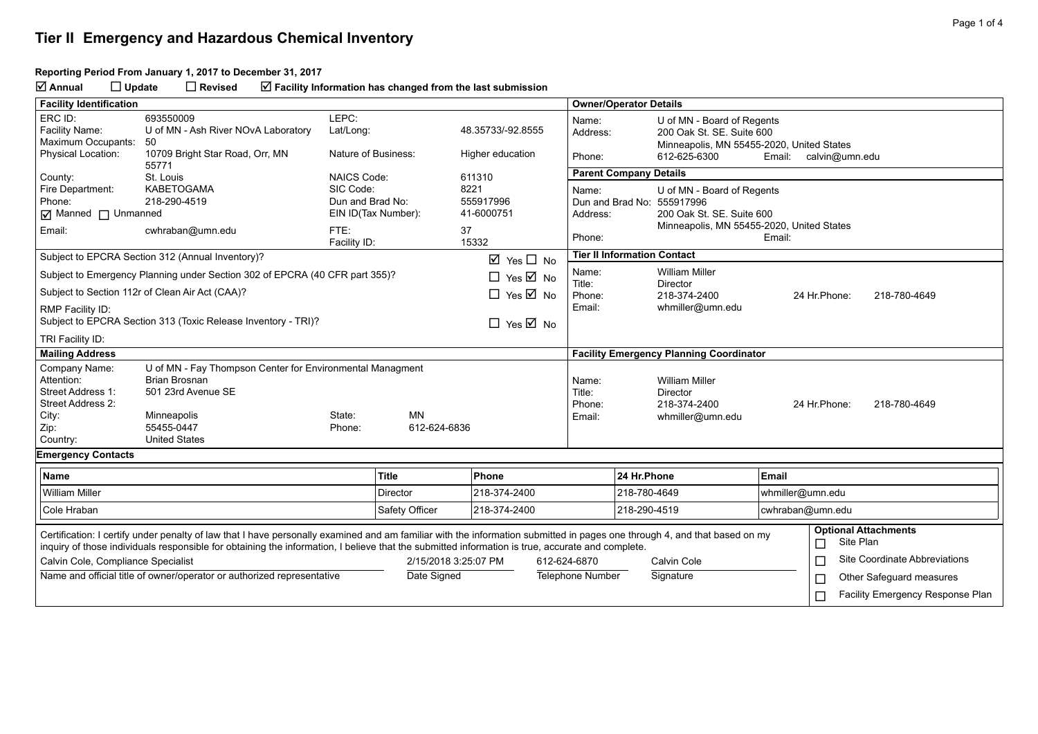#### **Reporting Period From January 1, 2017 to December 31, 2017**

**Annual Update Revised Facility Information has changed from the last submission**

| <b>Facility Identification</b>                                                                                                                                                                                                                                                                                                |                                                                             |                      |                     |                                 |                                                                                    | <b>Owner/Operator Details</b>                  |                                                                                                      |                                         |                                               |  |  |
|-------------------------------------------------------------------------------------------------------------------------------------------------------------------------------------------------------------------------------------------------------------------------------------------------------------------------------|-----------------------------------------------------------------------------|----------------------|---------------------|---------------------------------|------------------------------------------------------------------------------------|------------------------------------------------|------------------------------------------------------------------------------------------------------|-----------------------------------------|-----------------------------------------------|--|--|
| ERC ID:<br>Facility Name:<br>Maximum Occupants:                                                                                                                                                                                                                                                                               | 693550009<br>U of MN - Ash River NOvA Laboratory<br>50                      | LEPC:<br>Lat/Long:   |                     | 48.35733/-92.8555               | Name:<br>Address:                                                                  |                                                | U of MN - Board of Regents<br>200 Oak St. SE. Suite 600<br>Minneapolis, MN 55455-2020, United States |                                         |                                               |  |  |
| <b>Physical Location:</b>                                                                                                                                                                                                                                                                                                     | 10709 Bright Star Road, Orr, MN<br>55771                                    | Nature of Business:  |                     | Higher education                | Phone:                                                                             |                                                | 612-625-6300<br>Email: calvin@umn.edu                                                                |                                         |                                               |  |  |
| County:                                                                                                                                                                                                                                                                                                                       | St. Louis                                                                   | <b>NAICS Code:</b>   |                     | 611310                          |                                                                                    | <b>Parent Company Details</b>                  |                                                                                                      |                                         |                                               |  |  |
| Fire Department:                                                                                                                                                                                                                                                                                                              | <b>KABETOGAMA</b>                                                           | SIC Code:            |                     | 8221                            | Name:                                                                              |                                                | U of MN - Board of Regents                                                                           |                                         |                                               |  |  |
| Phone:<br>$\boxed{\triangleleft}$ Manned $\boxed{\phantom{a}}$ Unmanned                                                                                                                                                                                                                                                       | 218-290-4519                                                                | Dun and Brad No:     | EIN ID(Tax Number): | 555917996<br>41-6000751         |                                                                                    | Dun and Brad No: 555917996                     |                                                                                                      |                                         |                                               |  |  |
|                                                                                                                                                                                                                                                                                                                               |                                                                             |                      |                     |                                 | 200 Oak St. SE. Suite 600<br>Address:<br>Minneapolis, MN 55455-2020, United States |                                                |                                                                                                      |                                         |                                               |  |  |
| Email:                                                                                                                                                                                                                                                                                                                        | cwhraban@umn.edu                                                            | FTE:<br>Facility ID: |                     | 37<br>15332                     | Phone:                                                                             |                                                |                                                                                                      | Email:                                  |                                               |  |  |
|                                                                                                                                                                                                                                                                                                                               | Subject to EPCRA Section 312 (Annual Inventory)?                            |                      |                     | $\boxtimes$ Yes $\square$ No    |                                                                                    | <b>Tier II Information Contact</b>             |                                                                                                      |                                         |                                               |  |  |
|                                                                                                                                                                                                                                                                                                                               | Subject to Emergency Planning under Section 302 of EPCRA (40 CFR part 355)? |                      |                     | $\Box$ Yes $\boxtimes$ No       | Name:<br>Title:                                                                    |                                                | <b>William Miller</b><br><b>Director</b>                                                             |                                         |                                               |  |  |
|                                                                                                                                                                                                                                                                                                                               | Subject to Section 112r of Clean Air Act (CAA)?                             |                      |                     | $\Box$ Yes $\boxtimes$ No       | Phone:                                                                             |                                                | 218-374-2400                                                                                         |                                         | 24 Hr.Phone:<br>218-780-4649                  |  |  |
| RMP Facility ID:<br>Subject to EPCRA Section 313 (Toxic Release Inventory - TRI)?                                                                                                                                                                                                                                             |                                                                             |                      |                     |                                 | Email:                                                                             |                                                | whmiller@umn.edu                                                                                     |                                         |                                               |  |  |
| TRI Facility ID:                                                                                                                                                                                                                                                                                                              |                                                                             |                      |                     | $\Box$ Yes $\overline{\Box}$ No |                                                                                    |                                                |                                                                                                      |                                         |                                               |  |  |
| <b>Mailing Address</b>                                                                                                                                                                                                                                                                                                        |                                                                             |                      |                     |                                 |                                                                                    | <b>Facility Emergency Planning Coordinator</b> |                                                                                                      |                                         |                                               |  |  |
| Company Name:                                                                                                                                                                                                                                                                                                                 | U of MN - Fay Thompson Center for Environmental Managment                   |                      |                     |                                 |                                                                                    |                                                |                                                                                                      |                                         |                                               |  |  |
| Attention:                                                                                                                                                                                                                                                                                                                    | <b>Brian Brosnan</b>                                                        |                      |                     |                                 | Name:                                                                              |                                                | <b>William Miller</b>                                                                                |                                         |                                               |  |  |
| Street Address 1:                                                                                                                                                                                                                                                                                                             | 501 23rd Avenue SE                                                          |                      |                     |                                 | Title:                                                                             |                                                | Director                                                                                             |                                         |                                               |  |  |
| Street Address 2:<br>City:                                                                                                                                                                                                                                                                                                    | Minneapolis                                                                 | State:               | <b>MN</b>           |                                 | Phone:<br>Email:                                                                   |                                                | 218-374-2400<br>whmiller@umn.edu                                                                     |                                         | 24 Hr. Phone:<br>218-780-4649                 |  |  |
| Zip:                                                                                                                                                                                                                                                                                                                          | 55455-0447                                                                  | Phone:               | 612-624-6836        |                                 |                                                                                    |                                                |                                                                                                      |                                         |                                               |  |  |
| Country:                                                                                                                                                                                                                                                                                                                      | <b>United States</b>                                                        |                      |                     |                                 |                                                                                    |                                                |                                                                                                      |                                         |                                               |  |  |
| <b>Emergency Contacts</b>                                                                                                                                                                                                                                                                                                     |                                                                             |                      |                     |                                 |                                                                                    |                                                |                                                                                                      |                                         |                                               |  |  |
| <b>Name</b>                                                                                                                                                                                                                                                                                                                   |                                                                             |                      | <b>Title</b>        | Phone                           |                                                                                    | 24 Hr.Phone                                    |                                                                                                      | Email                                   |                                               |  |  |
| <b>William Miller</b>                                                                                                                                                                                                                                                                                                         |                                                                             |                      | <b>Director</b>     | 218-374-2400                    |                                                                                    | 218-780-4649                                   |                                                                                                      | whmiller@umn.edu                        |                                               |  |  |
| Cole Hraban                                                                                                                                                                                                                                                                                                                   |                                                                             |                      | Safety Officer      | 218-374-2400                    |                                                                                    | 218-290-4519                                   |                                                                                                      | cwhraban@umn.edu                        |                                               |  |  |
| Certification: I certify under penalty of law that I have personally examined and am familiar with the information submitted in pages one through 4, and that based on my<br>inquiry of those individuals responsible for obtaining the information, I believe that the submitted information is true, accurate and complete. |                                                                             |                      |                     |                                 |                                                                                    |                                                |                                                                                                      |                                         | <b>Optional Attachments</b><br>Site Plan<br>□ |  |  |
| Calvin Cole, Compliance Specialist<br>2/15/2018 3:25:07 PM                                                                                                                                                                                                                                                                    |                                                                             |                      | 612-624-6870        |                                 | Calvin Cole                                                                        |                                                |                                                                                                      | $\Box$<br>Site Coordinate Abbreviations |                                               |  |  |
| Name and official title of owner/operator or authorized representative                                                                                                                                                                                                                                                        |                                                                             |                      | Date Signed         |                                 | <b>Telephone Number</b>                                                            |                                                | Signature                                                                                            |                                         | Other Safeguard measures<br>Е                 |  |  |
|                                                                                                                                                                                                                                                                                                                               |                                                                             |                      |                     |                                 |                                                                                    |                                                |                                                                                                      |                                         | Facility Emergency Response Plan<br>$\Box$    |  |  |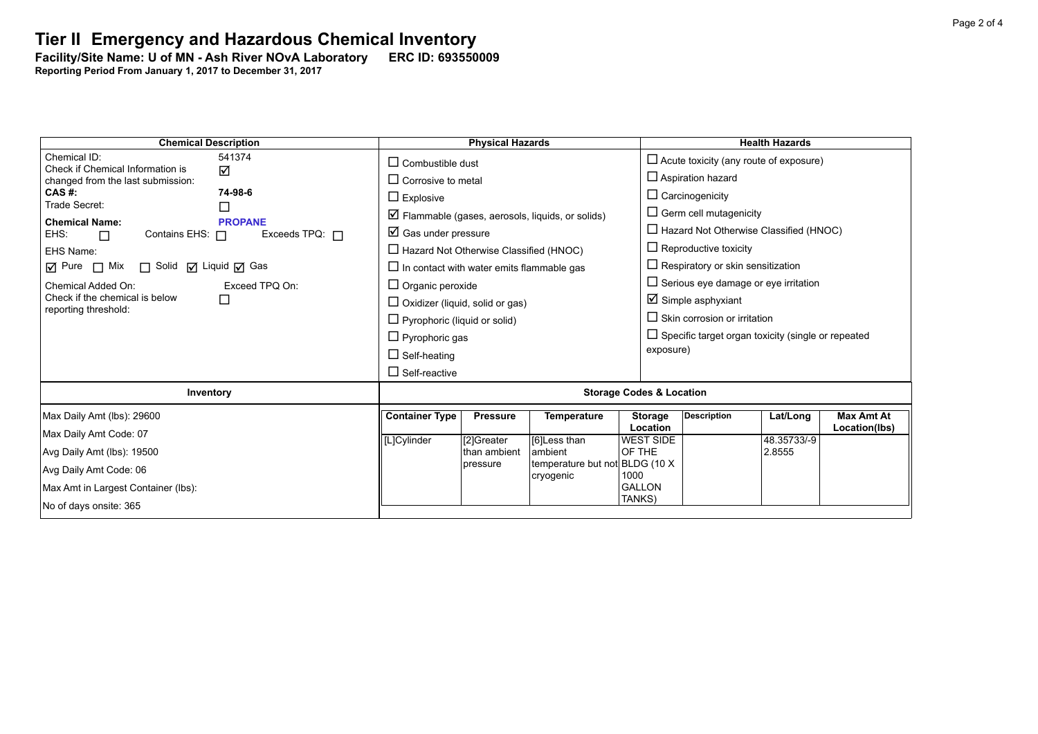**Facility/Site Name: U of MN - Ash River NOvA Laboratory-----ERC ID: 693550009**

**Reporting Period From January 1, 2017 to December 31, 2017**

| <b>Chemical Description</b>                                                                              | <b>Physical Hazards</b>                                          |                 |                                              |                            | <b>Health Hazards</b>                                     |             |                                    |  |
|----------------------------------------------------------------------------------------------------------|------------------------------------------------------------------|-----------------|----------------------------------------------|----------------------------|-----------------------------------------------------------|-------------|------------------------------------|--|
| Chemical ID:<br>541374<br>Check if Chemical Information is                                               | $\Box$ Combustible dust                                          |                 |                                              |                            | $\Box$ Acute toxicity (any route of exposure)             |             |                                    |  |
| ☑<br>changed from the last submission:                                                                   | $\Box$ Corrosive to metal                                        |                 |                                              |                            | $\Box$ Aspiration hazard                                  |             |                                    |  |
| CAS #:<br>74-98-6                                                                                        | $\Box$ Explosive                                                 |                 |                                              |                            | $\Box$ Carcinogenicity                                    |             |                                    |  |
| Trade Secret:<br>$\Box$                                                                                  | $\triangleright$ Flammable (gases, aerosols, liquids, or solids) |                 |                                              |                            | $\Box$ Germ cell mutagenicity                             |             |                                    |  |
| <b>Chemical Name:</b><br><b>PROPANE</b><br>EHS:<br>Contains EHS: $\Box$<br>Exceeds TPQ: $\Box$<br>$\Box$ | $\boxtimes$ Gas under pressure                                   |                 |                                              |                            | $\Box$ Hazard Not Otherwise Classified (HNOC)             |             |                                    |  |
| EHS Name:                                                                                                | $\Box$ Hazard Not Otherwise Classified (HNOC)                    |                 |                                              |                            | $\Box$ Reproductive toxicity                              |             |                                    |  |
| $\overline{M}$ Pure $\Box$ Mix<br>□ Solid □ Liquid □ Gas                                                 | $\Box$ In contact with water emits flammable gas                 |                 |                                              |                            | $\Box$ Respiratory or skin sensitization                  |             |                                    |  |
| Chemical Added On:<br>Exceed TPQ On:                                                                     | $\Box$ Organic peroxide                                          |                 |                                              |                            | $\Box$ Serious eye damage or eye irritation               |             |                                    |  |
| Check if the chemical is below<br>□                                                                      | $\Box$ Oxidizer (liquid, solid or gas)                           |                 |                                              |                            | $\boxtimes$ Simple asphyxiant                             |             |                                    |  |
| reporting threshold:                                                                                     | $\Box$ Pyrophoric (liquid or solid)                              |                 |                                              |                            | $\Box$ Skin corrosion or irritation                       |             |                                    |  |
|                                                                                                          | $\Box$ Pyrophoric gas                                            |                 |                                              |                            | $\Box$ Specific target organ toxicity (single or repeated |             |                                    |  |
|                                                                                                          | $\Box$ Self-heating                                              |                 |                                              |                            | exposure)                                                 |             |                                    |  |
|                                                                                                          | $\Box$ Self-reactive                                             |                 |                                              |                            |                                                           |             |                                    |  |
| Inventory                                                                                                | <b>Storage Codes &amp; Location</b>                              |                 |                                              |                            |                                                           |             |                                    |  |
| Max Daily Amt (lbs): 29600                                                                               | <b>Container Type</b>                                            | <b>Pressure</b> | <b>Temperature</b>                           | <b>Storage</b><br>Location | <b>Description</b>                                        | Lat/Long    | <b>Max Amt At</b><br>Location(lbs) |  |
| Max Daily Amt Code: 07                                                                                   | [L]Cylinder                                                      | [2]Greater      | [6]Less than                                 | <b>WEST SIDE</b>           |                                                           | 48.35733/-9 |                                    |  |
| Avg Daily Amt (lbs): 19500                                                                               |                                                                  | than ambient    | ambient                                      | OF THE                     |                                                           | 2.8555      |                                    |  |
| Avg Daily Amt Code: 06                                                                                   |                                                                  | pressure        | temperature but not BLDG (10 X)<br>cryogenic | 1000                       |                                                           |             |                                    |  |
| Max Amt in Largest Container (lbs):                                                                      |                                                                  |                 |                                              | <b>GALLON</b>              |                                                           |             |                                    |  |
| No of days onsite: 365                                                                                   |                                                                  |                 |                                              | TANKS)                     |                                                           |             |                                    |  |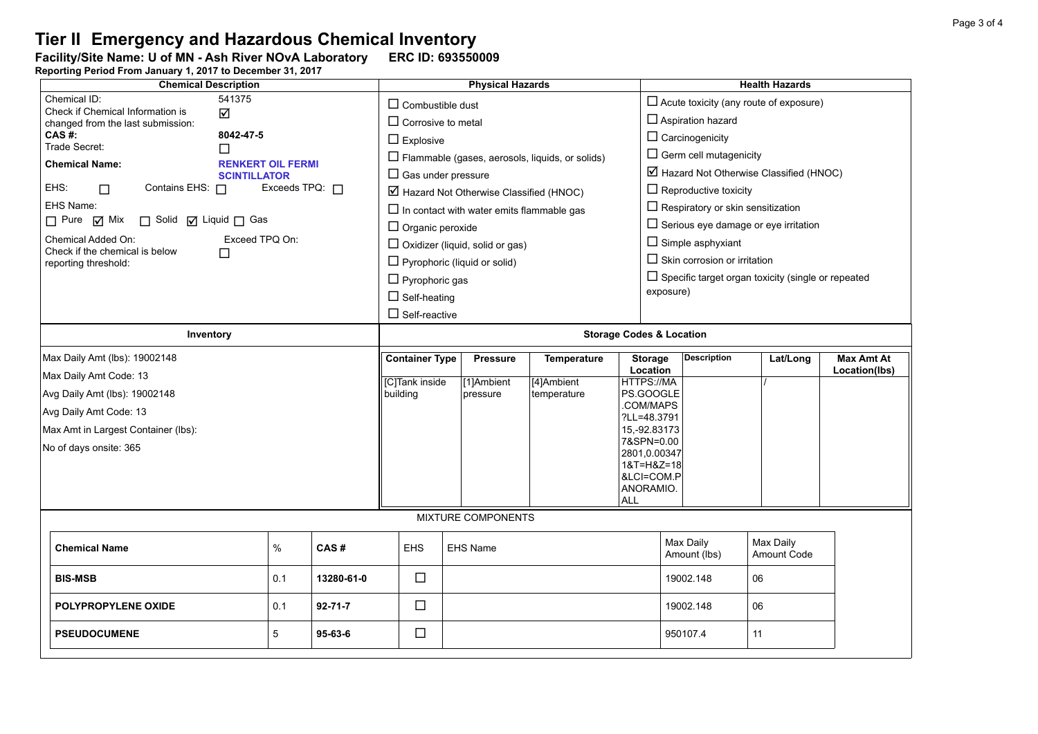**Facility/Site Name: U of MN - Ash River NOvA Laboratory-----ERC ID: 693550009 Reporting Period From January 1, 2017 to December 31, 2017**

| <b>Chemical Description</b>                                                                                                                                                                                                                                                                                                                                                                                                                                           |      |               |                                     | <b>Physical Hazards</b>                                                                                                                                                     |                                                                                                                                                                                                                      |                                                        |                            |                                                                                                                                                                                                                                                                                                                                                                                                                                                                    | <b>Health Hazards</b>    |                             |  |  |
|-----------------------------------------------------------------------------------------------------------------------------------------------------------------------------------------------------------------------------------------------------------------------------------------------------------------------------------------------------------------------------------------------------------------------------------------------------------------------|------|---------------|-------------------------------------|-----------------------------------------------------------------------------------------------------------------------------------------------------------------------------|----------------------------------------------------------------------------------------------------------------------------------------------------------------------------------------------------------------------|--------------------------------------------------------|----------------------------|--------------------------------------------------------------------------------------------------------------------------------------------------------------------------------------------------------------------------------------------------------------------------------------------------------------------------------------------------------------------------------------------------------------------------------------------------------------------|--------------------------|-----------------------------|--|--|
| Chemical ID:<br>541375<br>Check if Chemical Information is<br>☑<br>changed from the last submission:<br>CAS#:<br>8042-47-5<br>Trade Secret:<br>П<br><b>Chemical Name:</b><br><b>RENKERT OIL FERMI</b><br><b>SCINTILLATOR</b><br>EHS:<br>Contains EHS: $\Box$<br>Exceeds TPQ: $\Box$<br>$\Box$<br>EHS Name:<br>$\Box$ Pure $\Box$ Mix<br>□ Solid □ Liquid □ Gas<br>Exceed TPQ On:<br>Chemical Added On:<br>Check if the chemical is below<br>П<br>reporting threshold: |      |               |                                     | $\Box$ Combustible dust<br>$\Box$ Corrosive to metal<br>$\Box$ Explosive<br>$\Box$ Organic peroxide<br>$\Box$ Pyrophoric gas<br>$\Box$ Self-heating<br>$\Box$ Self-reactive | $\Box$ Gas under pressure<br>$\boxtimes$ Hazard Not Otherwise Classified (HNOC)<br>$\Box$ In contact with water emits flammable gas<br>$\Box$ Oxidizer (liquid, solid or gas)<br>$\Box$ Pyrophoric (liquid or solid) | $\Box$ Flammable (gases, aerosols, liquids, or solids) |                            | $\Box$ Acute toxicity (any route of exposure)<br>$\Box$ Aspiration hazard<br>$\Box$ Carcinogenicity<br>$\Box$ Germ cell mutagenicity<br>$\boxtimes$ Hazard Not Otherwise Classified (HNOC)<br>$\Box$ Reproductive toxicity<br>$\Box$ Respiratory or skin sensitization<br>$\Box$ Serious eye damage or eye irritation<br>$\Box$ Simple asphyxiant<br>$\Box$ Skin corrosion or irritation<br>$\Box$ Specific target organ toxicity (single or repeated<br>exposure) |                          |                             |  |  |
| Inventory                                                                                                                                                                                                                                                                                                                                                                                                                                                             |      |               | <b>Storage Codes &amp; Location</b> |                                                                                                                                                                             |                                                                                                                                                                                                                      |                                                        |                            |                                                                                                                                                                                                                                                                                                                                                                                                                                                                    |                          |                             |  |  |
| Max Daily Amt (lbs): 19002148                                                                                                                                                                                                                                                                                                                                                                                                                                         |      |               | <b>Container Type</b>               |                                                                                                                                                                             | <b>Pressure</b>                                                                                                                                                                                                      | Temperature                                            | <b>Storage</b><br>Location | <b>Description</b>                                                                                                                                                                                                                                                                                                                                                                                                                                                 | Lat/Long                 | Max Amt At<br>Location(lbs) |  |  |
| Max Daily Amt Code: 13                                                                                                                                                                                                                                                                                                                                                                                                                                                |      |               | [C]Tank inside                      |                                                                                                                                                                             | [1]Ambient                                                                                                                                                                                                           | [4]Ambient                                             | HTTPS://MA                 |                                                                                                                                                                                                                                                                                                                                                                                                                                                                    |                          |                             |  |  |
| Avg Daily Amt (lbs): 19002148                                                                                                                                                                                                                                                                                                                                                                                                                                         |      |               | building                            | PS.GOOGLE<br>pressure<br>temperature<br>COM/MAPS                                                                                                                            |                                                                                                                                                                                                                      |                                                        |                            |                                                                                                                                                                                                                                                                                                                                                                                                                                                                    |                          |                             |  |  |
| Avg Daily Amt Code: 13                                                                                                                                                                                                                                                                                                                                                                                                                                                |      |               |                                     | ?LL=48.3791                                                                                                                                                                 |                                                                                                                                                                                                                      |                                                        |                            |                                                                                                                                                                                                                                                                                                                                                                                                                                                                    |                          |                             |  |  |
| Max Amt in Largest Container (lbs):                                                                                                                                                                                                                                                                                                                                                                                                                                   |      |               |                                     | 15,-92.83173<br>7&SPN=0.00                                                                                                                                                  |                                                                                                                                                                                                                      |                                                        |                            |                                                                                                                                                                                                                                                                                                                                                                                                                                                                    |                          |                             |  |  |
| No of days onsite: 365                                                                                                                                                                                                                                                                                                                                                                                                                                                |      |               |                                     | 2801,0.00347                                                                                                                                                                |                                                                                                                                                                                                                      |                                                        |                            |                                                                                                                                                                                                                                                                                                                                                                                                                                                                    |                          |                             |  |  |
|                                                                                                                                                                                                                                                                                                                                                                                                                                                                       |      |               |                                     |                                                                                                                                                                             |                                                                                                                                                                                                                      | 1&T=H&Z=18<br>&LCI=COM.P                               |                            |                                                                                                                                                                                                                                                                                                                                                                                                                                                                    |                          |                             |  |  |
|                                                                                                                                                                                                                                                                                                                                                                                                                                                                       |      |               |                                     |                                                                                                                                                                             |                                                                                                                                                                                                                      |                                                        | ANORAMIO.                  |                                                                                                                                                                                                                                                                                                                                                                                                                                                                    |                          |                             |  |  |
|                                                                                                                                                                                                                                                                                                                                                                                                                                                                       |      |               |                                     |                                                                                                                                                                             |                                                                                                                                                                                                                      |                                                        | <b>ALL</b>                 |                                                                                                                                                                                                                                                                                                                                                                                                                                                                    |                          |                             |  |  |
| MIXTURE COMPONENTS                                                                                                                                                                                                                                                                                                                                                                                                                                                    |      |               |                                     |                                                                                                                                                                             |                                                                                                                                                                                                                      |                                                        |                            |                                                                                                                                                                                                                                                                                                                                                                                                                                                                    |                          |                             |  |  |
| <b>Chemical Name</b>                                                                                                                                                                                                                                                                                                                                                                                                                                                  | $\%$ | CAS#          | EHS                                 |                                                                                                                                                                             | <b>EHS Name</b>                                                                                                                                                                                                      |                                                        |                            | Max Daily<br>Amount (lbs)                                                                                                                                                                                                                                                                                                                                                                                                                                          | Max Daily<br>Amount Code |                             |  |  |
| <b>BIS-MSB</b>                                                                                                                                                                                                                                                                                                                                                                                                                                                        | 0.1  | 13280-61-0    | $\Box$                              |                                                                                                                                                                             |                                                                                                                                                                                                                      |                                                        |                            | 19002.148                                                                                                                                                                                                                                                                                                                                                                                                                                                          | 06                       |                             |  |  |
| POLYPROPYLENE OXIDE<br>0.1<br>$92 - 71 - 7$                                                                                                                                                                                                                                                                                                                                                                                                                           |      |               | $\Box$                              |                                                                                                                                                                             |                                                                                                                                                                                                                      |                                                        |                            | 19002.148                                                                                                                                                                                                                                                                                                                                                                                                                                                          | 06                       |                             |  |  |
| <b>PSEUDOCUMENE</b>                                                                                                                                                                                                                                                                                                                                                                                                                                                   | 5    | $95 - 63 - 6$ | $\Box$                              |                                                                                                                                                                             |                                                                                                                                                                                                                      |                                                        |                            | 950107.4                                                                                                                                                                                                                                                                                                                                                                                                                                                           | 11                       |                             |  |  |